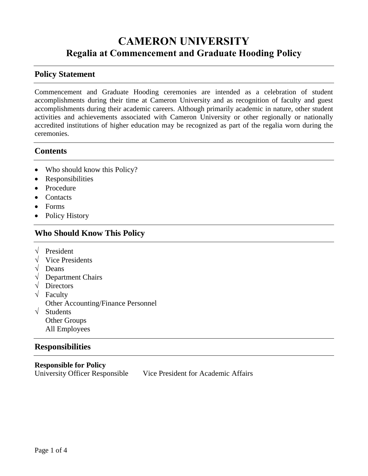# **CAMERON UNIVERSITY Regalia at Commencement and Graduate Hooding Policy**

## **Policy Statement**

Commencement and Graduate Hooding ceremonies are intended as a celebration of student accomplishments during their time at Cameron University and as recognition of faculty and guest accomplishments during their academic careers. Although primarily academic in nature, other student activities and achievements associated with Cameron University or other regionally or nationally accredited institutions of higher education may be recognized as part of the regalia worn during the ceremonies.

### **Contents**

- Who should know this Policy?
- Responsibilities
- Procedure
- Contacts
- Forms
- Policy History

## **Who Should Know This Policy**

- √ President
- $\sqrt{\phantom{a}}$  Vice Presidents
- √ Deans
- √ Department Chairs
- √ Directors
- √ Faculty
	- Other Accounting/Finance Personnel
- √ Students Other Groups All Employees

## **Responsibilities**

**Responsible for Policy** University Officer Responsible Vice President for Academic Affairs

Page 1 of 4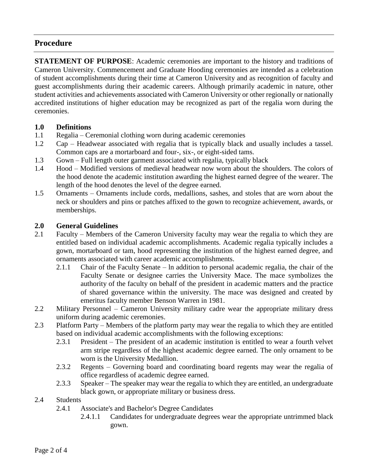## **Procedure**

**STATEMENT OF PURPOSE**: Academic ceremonies are important to the history and traditions of Cameron University. Commencement and Graduate Hooding ceremonies are intended as a celebration of student accomplishments during their time at Cameron University and as recognition of faculty and guest accomplishments during their academic careers. Although primarily academic in nature, other student activities and achievements associated with Cameron University or other regionally or nationally accredited institutions of higher education may be recognized as part of the regalia worn during the ceremonies.

#### **1.0 Definitions**

- 1.1 Regalia Ceremonial clothing worn during academic ceremonies
- 1.2 Cap Headwear associated with regalia that is typically black and usually includes a tassel. Common caps are a mortarboard and four-, six-, or eight-sided tams.
- 1.3 Gown Full length outer garment associated with regalia, typically black
- 1.4 Hood Modified versions of medieval headwear now worn about the shoulders. The colors of the hood denote the academic institution awarding the highest earned degree of the wearer. The length of the hood denotes the level of the degree earned.
- 1.5 Ornaments Ornaments include cords, medallions, sashes, and stoles that are worn about the neck or shoulders and pins or patches affixed to the gown to recognize achievement, awards, or memberships.

#### **2.0 General Guidelines**

- 2.1 Faculty Members of the Cameron University faculty may wear the regalia to which they are entitled based on individual academic accomplishments. Academic regalia typically includes a gown, mortarboard or tam, hood representing the institution of the highest earned degree, and ornaments associated with career academic accomplishments.
	- 2.1.1 Chair of the Faculty Senate ln addition to personal academic regalia, the chair of the Faculty Senate or designee carries the University Mace. The mace symbolizes the authority of the faculty on behalf of the president in academic matters and the practice of shared governance within the university. The mace was designed and created by emeritus faculty member Benson Warren in 1981.
- 2.2 Military Personnel Cameron University military cadre wear the appropriate military dress uniform during academic ceremonies.
- 2.3 Platform Party Members of the platform party may wear the regalia to which they are entitled based on individual academic accomplishments with the following exceptions:
	- 2.3.1 President The president of an academic institution is entitled to wear a fourth velvet arm stripe regardless of the highest academic degree earned. The only ornament to be worn is the University Medallion.
	- 2.3.2 Regents Governing board and coordinating board regents may wear the regalia of office regardless of academic degree earned.
	- 2.3.3 Speaker The speaker may wear the regalia to which they are entitled, an undergraduate black gown, or appropriate military or business dress.
- 2.4 Students
	- 2.4.1 Associate's and Bachelor's Degree Candidates
		- 2.4.1.1 Candidates for undergraduate degrees wear the appropriate untrimmed black gown.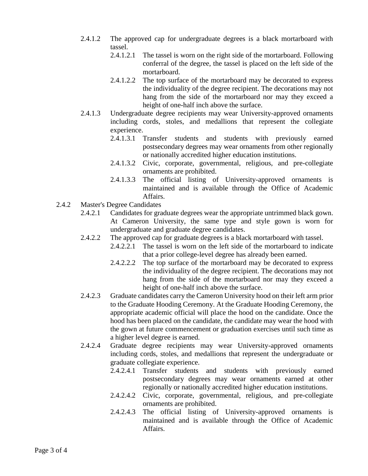- 2.4.1.2 The approved cap for undergraduate degrees is a black mortarboard with tassel.
	- 2.4.1.2.1 The tassel is worn on the right side of the mortarboard. Following conferral of the degree, the tassel is placed on the left side of the mortarboard.
	- 2.4.1.2.2 The top surface of the mortarboard may be decorated to express the individuality of the degree recipient. The decorations may not hang from the side of the mortarboard nor may they exceed a height of one-half inch above the surface.
- 2.4.1.3 Undergraduate degree recipients may wear University-approved ornaments including cords, stoles, and medallions that represent the collegiate experience.
	- 2.4.1.3.1 Transfer students and students with previously earned postsecondary degrees may wear ornaments from other regionally or nationally accredited higher education institutions.
	- 2.4.1.3.2 Civic, corporate, governmental, religious, and pre-collegiate ornaments are prohibited.
	- 2.4.1.3.3 The official listing of University-approved ornaments is maintained and is available through the Office of Academic Affairs.
- 2.4.2 Master's Degree Candidates
	- 2.4.2.1 Candidates for graduate degrees wear the appropriate untrimmed black gown. At Cameron University, the same type and style gown is worn for undergraduate and graduate degree candidates.
	- 2.4.2.2 The approved cap for graduate degrees is a black mortarboard with tassel.
		- 2.4.2.2.1 The tassel is worn on the left side of the mortarboard to indicate that a prior college-level degree has already been earned.
		- 2.4.2.2.2 The top surface of the mortarboard may be decorated to express the individuality of the degree recipient. The decorations may not hang from the side of the mortarboard nor may they exceed a height of one-half inch above the surface.
	- 2.4.2.3 Graduate candidates carry the Cameron University hood on their left arm prior to the Graduate Hooding Ceremony. At the Graduate Hooding Ceremony, the appropriate academic official will place the hood on the candidate. Once the hood has been placed on the candidate, the candidate may wear the hood with the gown at future commencement or graduation exercises until such time as a higher level degree is earned.
	- 2.4.2.4 Graduate degree recipients may wear University-approved ornaments including cords, stoles, and medallions that represent the undergraduate or graduate collegiate experience.
		- 2.4.2.4.1 Transfer students and students with previously earned postsecondary degrees may wear ornaments earned at other regionally or nationally accredited higher education institutions.
		- 2.4.2.4.2 Civic, corporate, governmental, religious, and pre-collegiate ornaments are prohibited.
		- 2.4.2.4.3 The official listing of University-approved ornaments is maintained and is available through the Office of Academic Affairs.